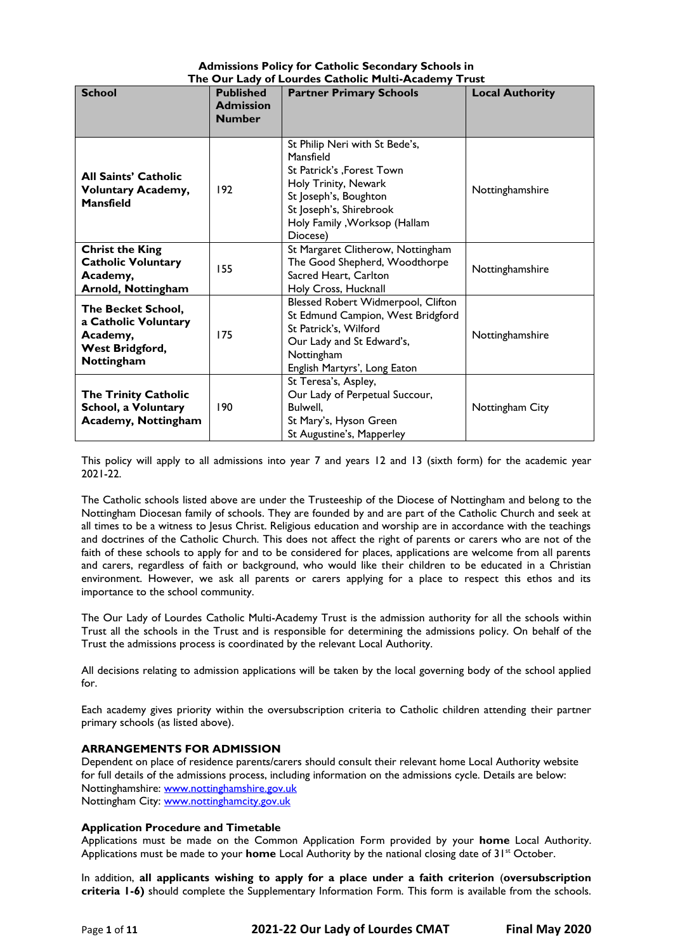## **Admissions Policy for Catholic Secondary Schools in The Our Lady of Lourdes Catholic Multi-Academy Trust**

| <b>School</b>                                                                           | <b>Published</b>                  | <b>Partner Primary Schools</b>                                                                                                                                                                     | <b>Local Authority</b> |
|-----------------------------------------------------------------------------------------|-----------------------------------|----------------------------------------------------------------------------------------------------------------------------------------------------------------------------------------------------|------------------------|
|                                                                                         | <b>Admission</b><br><b>Number</b> |                                                                                                                                                                                                    |                        |
| <b>All Saints' Catholic</b><br><b>Voluntary Academy,</b><br><b>Mansfield</b>            | 192                               | St Philip Neri with St Bede's,<br>Mansfield<br>St Patrick's , Forest Town<br>Holy Trinity, Newark<br>St Joseph's, Boughton<br>St Joseph's, Shirebrook<br>Holy Family , Worksop (Hallam<br>Diocese) | Nottinghamshire        |
| <b>Christ the King</b><br><b>Catholic Voluntary</b><br>Academy,<br>Arnold, Nottingham   | 155                               | St Margaret Clitherow, Nottingham<br>The Good Shepherd, Woodthorpe<br>Sacred Heart, Carlton<br>Holy Cross, Hucknall                                                                                | Nottinghamshire        |
| The Becket School,<br>a Catholic Voluntary<br>Academy,<br>West Bridgford,<br>Nottingham | 175                               | Blessed Robert Widmerpool, Clifton<br>St Edmund Campion, West Bridgford<br>St Patrick's, Wilford<br>Our Lady and St Edward's,<br>Nottingham<br>English Martyrs', Long Eaton                        | Nottinghamshire        |
| <b>The Trinity Catholic</b><br>School, a Voluntary<br><b>Academy, Nottingham</b>        | 190                               | St Teresa's, Aspley,<br>Our Lady of Perpetual Succour,<br>Bulwell.<br>St Mary's, Hyson Green<br>St Augustine's, Mapperley                                                                          | Nottingham City        |

This policy will apply to all admissions into year 7 and years 12 and 13 (sixth form) for the academic year 2021-22.

The Catholic schools listed above are under the Trusteeship of the Diocese of Nottingham and belong to the Nottingham Diocesan family of schools. They are founded by and are part of the Catholic Church and seek at all times to be a witness to Jesus Christ. Religious education and worship are in accordance with the teachings and doctrines of the Catholic Church. This does not affect the right of parents or carers who are not of the faith of these schools to apply for and to be considered for places, applications are welcome from all parents and carers, regardless of faith or background, who would like their children to be educated in a Christian environment. However, we ask all parents or carers applying for a place to respect this ethos and its importance to the school community.

The Our Lady of Lourdes Catholic Multi-Academy Trust is the admission authority for all the schools within Trust all the schools in the Trust and is responsible for determining the admissions policy. On behalf of the Trust the admissions process is coordinated by the relevant Local Authority.

All decisions relating to admission applications will be taken by the local governing body of the school applied for.

Each academy gives priority within the oversubscription criteria to Catholic children attending their partner primary schools (as listed above).

# **ARRANGEMENTS FOR ADMISSION**

Dependent on place of residence parents/carers should consult their relevant home Local Authority website for full details of the admissions process, including information on the admissions cycle. Details are below: Nottinghamshire: [www.nottinghamshire.gov.uk](http://www.nottinghamshire.gov.uk/) Nottingham City: [www.nottinghamcity.gov.uk](http://www.nottinghamcity.gov.uk/)

### **Application Procedure and Timetable**

Applications must be made on the Common Application Form provided by your **home** Local Authority. Applications must be made to your **home** Local Authority by the national closing date of 31<sup>st</sup> October.

In addition, **all applicants wishing to apply for a place under a faith criterion** (**oversubscription criteria 1-6)** should complete the Supplementary Information Form. This form is available from the schools.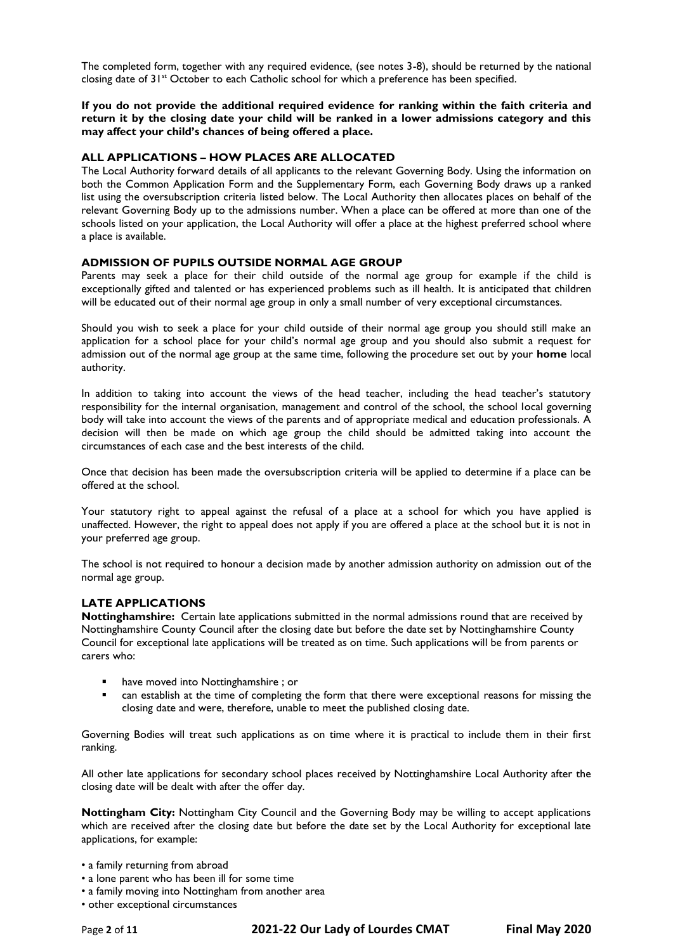The completed form, together with any required evidence, (see notes 3-8), should be returned by the national closing date of 31<sup>st</sup> October to each Catholic school for which a preference has been specified.

**If you do not provide the additional required evidence for ranking within the faith criteria and return it by the closing date your child will be ranked in a lower admissions category and this may affect your child's chances of being offered a place.**

#### **ALL APPLICATIONS – HOW PLACES ARE ALLOCATED**

The Local Authority forward details of all applicants to the relevant Governing Body. Using the information on both the Common Application Form and the Supplementary Form, each Governing Body draws up a ranked list using the oversubscription criteria listed below. The Local Authority then allocates places on behalf of the relevant Governing Body up to the admissions number. When a place can be offered at more than one of the schools listed on your application, the Local Authority will offer a place at the highest preferred school where a place is available.

#### **ADMISSION OF PUPILS OUTSIDE NORMAL AGE GROUP**

Parents may seek a place for their child outside of the normal age group for example if the child is exceptionally gifted and talented or has experienced problems such as ill health. It is anticipated that children will be educated out of their normal age group in only a small number of very exceptional circumstances.

Should you wish to seek a place for your child outside of their normal age group you should still make an application for a school place for your child's normal age group and you should also submit a request for admission out of the normal age group at the same time, following the procedure set out by your **home** local authority.

In addition to taking into account the views of the head teacher, including the head teacher's statutory responsibility for the internal organisation, management and control of the school, the school local governing body will take into account the views of the parents and of appropriate medical and education professionals. A decision will then be made on which age group the child should be admitted taking into account the circumstances of each case and the best interests of the child.

Once that decision has been made the oversubscription criteria will be applied to determine if a place can be offered at the school.

Your statutory right to appeal against the refusal of a place at a school for which you have applied is unaffected. However, the right to appeal does not apply if you are offered a place at the school but it is not in your preferred age group.

The school is not required to honour a decision made by another admission authority on admission out of the normal age group.

### **LATE APPLICATIONS**

**Nottinghamshire:** Certain late applications submitted in the normal admissions round that are received by Nottinghamshire County Council after the closing date but before the date set by Nottinghamshire County Council for exceptional late applications will be treated as on time. Such applications will be from parents or carers who:

- have moved into Nottinghamshire; or
- can establish at the time of completing the form that there were exceptional reasons for missing the closing date and were, therefore, unable to meet the published closing date.

Governing Bodies will treat such applications as on time where it is practical to include them in their first ranking.

All other late applications for secondary school places received by Nottinghamshire Local Authority after the closing date will be dealt with after the offer day.

**Nottingham City:** Nottingham City Council and the Governing Body may be willing to accept applications which are received after the closing date but before the date set by the Local Authority for exceptional late applications, for example:

- a family returning from abroad
- a lone parent who has been ill for some time
- a family moving into Nottingham from another area
- other exceptional circumstances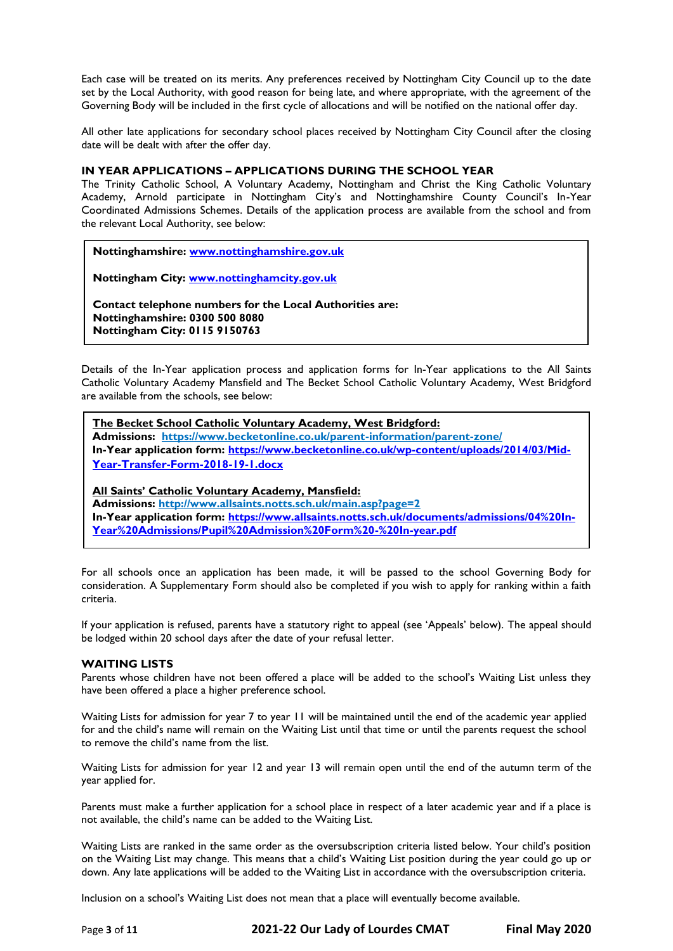Each case will be treated on its merits. Any preferences received by Nottingham City Council up to the date set by the Local Authority, with good reason for being late, and where appropriate, with the agreement of the Governing Body will be included in the first cycle of allocations and will be notified on the national offer day.

All other late applications for secondary school places received by Nottingham City Council after the closing date will be dealt with after the offer day.

### **IN YEAR APPLICATIONS – APPLICATIONS DURING THE SCHOOL YEAR**

The Trinity Catholic School, A Voluntary Academy, Nottingham and Christ the King Catholic Voluntary Academy, Arnold participate in Nottingham City's and Nottinghamshire County Council's In-Year Coordinated Admissions Schemes. Details of the application process are available from the school and from the relevant Local Authority, see below:

**Nottinghamshire: [www.nottinghamshire.gov.uk](http://www.nottinghamshire.gov.uk/)**

**Nottingham City: [www.nottinghamcity.gov.uk](http://www.nottinghamcity.gov.uk/)**

**Contact telephone numbers for the Local Authorities are: Nottinghamshire: 0300 500 8080 Nottingham City: 0115 9150763**

Details of the In-Year application process and application forms for In-Year applications to the All Saints Catholic Voluntary Academy Mansfield and The Becket School Catholic Voluntary Academy, West Bridgford are available from the schools, see below:

# **The Becket School Catholic Voluntary Academy, West Bridgford: Admissions: <https://www.becketonline.co.uk/parent-information/parent-zone/> In-Year application form: [https://www.becketonline.co.uk/wp-content/uploads/2014/03/Mid-](https://www.becketonline.co.uk/wp-content/uploads/2014/03/Mid-Year-Transfer-Form-2018-19-1.docx)[Year-Transfer-Form-2018-19-1.docx](https://www.becketonline.co.uk/wp-content/uploads/2014/03/Mid-Year-Transfer-Form-2018-19-1.docx)**

**All Saints' Catholic Voluntary Academy, Mansfield: Admissions: <http://www.allsaints.notts.sch.uk/main.asp?page=2> In-Year application form: [https://www.allsaints.notts.sch.uk/documents/admissions/04%20In-](https://www.allsaints.notts.sch.uk/documents/admissions/04%20In-Year%20Admissions/Pupil%20Admission%20Form%20-%20In-year.pdf)[Year%20Admissions/Pupil%20Admission%20Form%20-%20In-year.pdf](https://www.allsaints.notts.sch.uk/documents/admissions/04%20In-Year%20Admissions/Pupil%20Admission%20Form%20-%20In-year.pdf)**

For all schools once an application has been made, it will be passed to the school Governing Body for consideration. A Supplementary Form should also be completed if you wish to apply for ranking within a faith criteria.

If your application is refused, parents have a statutory right to appeal (see 'Appeals' below). The appeal should be lodged within 20 school days after the date of your refusal letter.

### **WAITING LISTS**

Parents whose children have not been offered a place will be added to the school's Waiting List unless they have been offered a place a higher preference school.

Waiting Lists for admission for year 7 to year 11 will be maintained until the end of the academic year applied for and the child's name will remain on the Waiting List until that time or until the parents request the school to remove the child's name from the list.

Waiting Lists for admission for year 12 and year 13 will remain open until the end of the autumn term of the year applied for.

Parents must make a further application for a school place in respect of a later academic year and if a place is not available, the child's name can be added to the Waiting List.

Waiting Lists are ranked in the same order as the oversubscription criteria listed below. Your child's position on the Waiting List may change. This means that a child's Waiting List position during the year could go up or down. Any late applications will be added to the Waiting List in accordance with the oversubscription criteria.

Inclusion on a school's Waiting List does not mean that a place will eventually become available.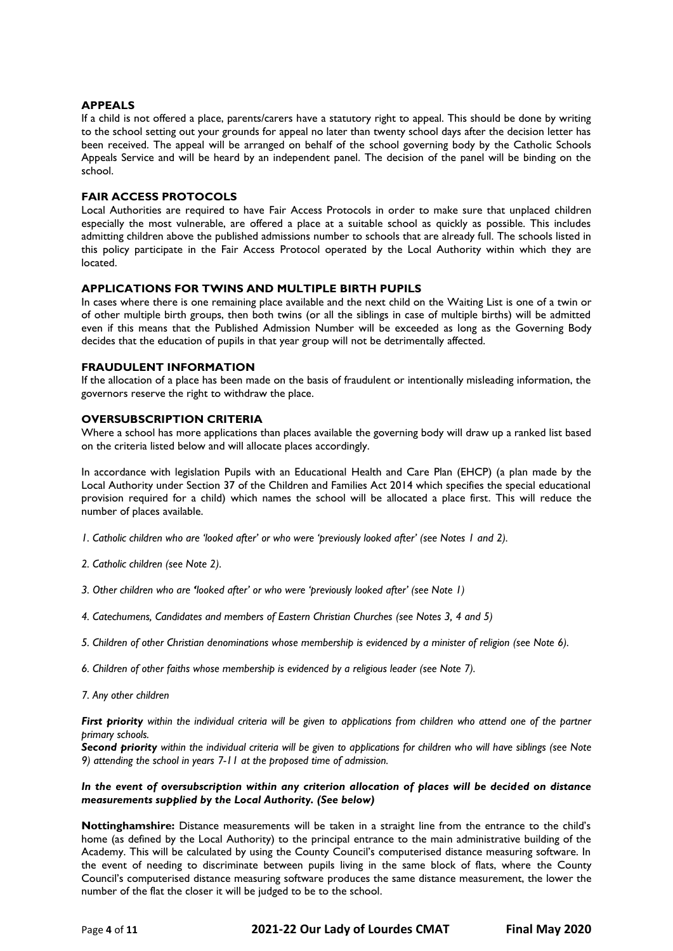### **APPEALS**

If a child is not offered a place, parents/carers have a statutory right to appeal. This should be done by writing to the school setting out your grounds for appeal no later than twenty school days after the decision letter has been received. The appeal will be arranged on behalf of the school governing body by the Catholic Schools Appeals Service and will be heard by an independent panel. The decision of the panel will be binding on the school.

### **FAIR ACCESS PROTOCOLS**

Local Authorities are required to have Fair Access Protocols in order to make sure that unplaced children especially the most vulnerable, are offered a place at a suitable school as quickly as possible. This includes admitting children above the published admissions number to schools that are already full. The schools listed in this policy participate in the Fair Access Protocol operated by the Local Authority within which they are located.

### **APPLICATIONS FOR TWINS AND MULTIPLE BIRTH PUPILS**

In cases where there is one remaining place available and the next child on the Waiting List is one of a twin or of other multiple birth groups, then both twins (or all the siblings in case of multiple births) will be admitted even if this means that the Published Admission Number will be exceeded as long as the Governing Body decides that the education of pupils in that year group will not be detrimentally affected.

### **FRAUDULENT INFORMATION**

If the allocation of a place has been made on the basis of fraudulent or intentionally misleading information, the governors reserve the right to withdraw the place.

### **OVERSUBSCRIPTION CRITERIA**

Where a school has more applications than places available the governing body will draw up a ranked list based on the criteria listed below and will allocate places accordingly.

In accordance with legislation Pupils with an Educational Health and Care Plan (EHCP) (a plan made by the Local Authority under Section 37 of the Children and Families Act 2014 which specifies the special educational provision required for a child) which names the school will be allocated a place first. This will reduce the number of places available.

- *1. Catholic children who are 'looked after' or who were 'previously looked after' (see Notes 1 and 2).*
- *2. Catholic children (see Note 2).*
- *3. Other children who are 'looked after' or who were 'previously looked after' (see Note 1)*
- *4. Catechumens, Candidates and members of Eastern Christian Churches (see Notes 3, 4 and 5)*
- *5. Children of other Christian denominations whose membership is evidenced by a minister of religion (see Note 6).*
- *6. Children of other faiths whose membership is evidenced by a religious leader (see Note 7).*
- *7. Any other children*

*First priority within the individual criteria will be given to applications from children who attend one of the partner primary schools.*

*Second priority within the individual criteria will be given to applications for children who will have siblings (see Note 9) attending the school in years 7-11 at the proposed time of admission.*

### *In the event of oversubscription within any criterion allocation of places will be decided on distance measurements supplied by the Local Authority. (See below)*

**Nottinghamshire:** Distance measurements will be taken in a straight line from the entrance to the child's home (as defined by the Local Authority) to the principal entrance to the main administrative building of the Academy. This will be calculated by using the County Council's computerised distance measuring software. In the event of needing to discriminate between pupils living in the same block of flats, where the County Council's computerised distance measuring software produces the same distance measurement, the lower the number of the flat the closer it will be judged to be to the school.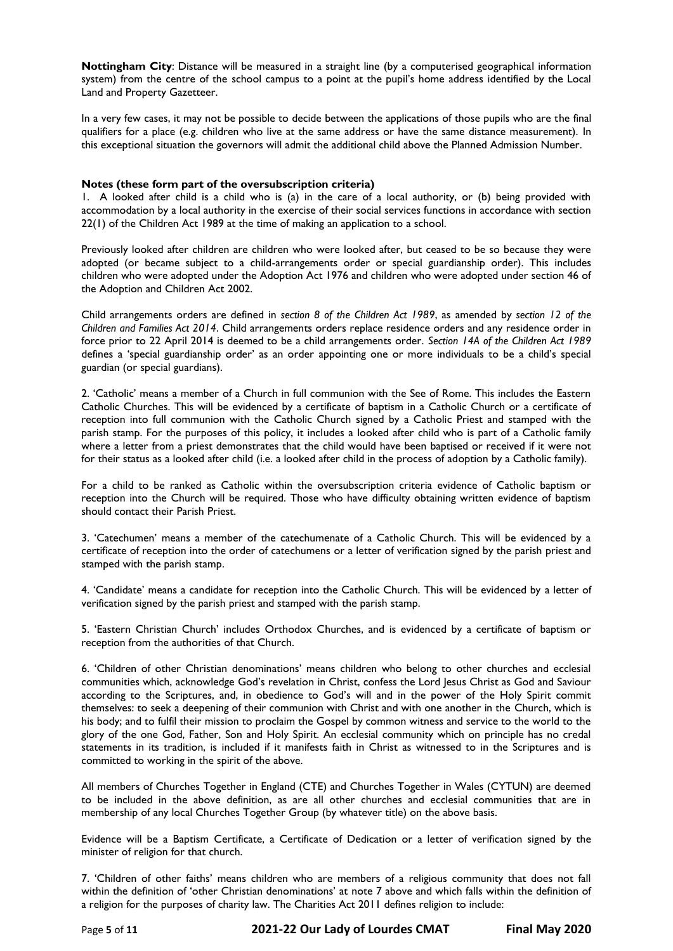**Nottingham City**: Distance will be measured in a straight line (by a computerised geographical information system) from the centre of the school campus to a point at the pupil's home address identified by the Local Land and Property Gazetteer.

In a very few cases, it may not be possible to decide between the applications of those pupils who are the final qualifiers for a place (e.g. children who live at the same address or have the same distance measurement). In this exceptional situation the governors will admit the additional child above the Planned Admission Number.

#### **Notes (these form part of the oversubscription criteria)**

1. A looked after child is a child who is (a) in the care of a local authority, or (b) being provided with accommodation by a local authority in the exercise of their social services functions in accordance with section 22(1) of the Children Act 1989 at the time of making an application to a school.

Previously looked after children are children who were looked after, but ceased to be so because they were adopted (or became subject to a child-arrangements order or special guardianship order). This includes children who were adopted under the Adoption Act 1976 and children who were adopted under section 46 of the Adoption and Children Act 2002.

Child arrangements orders are defined in *section 8 of the Children Act 1989*, as amended by *section 12 of the Children and Families Act 2014*. Child arrangements orders replace residence orders and any residence order in force prior to 22 April 2014 is deemed to be a child arrangements order. *Section 14A of the Children Act 1989* defines a 'special guardianship order' as an order appointing one or more individuals to be a child's special guardian (or special guardians).

2. 'Catholic' means a member of a Church in full communion with the See of Rome. This includes the Eastern Catholic Churches. This will be evidenced by a certificate of baptism in a Catholic Church or a certificate of reception into full communion with the Catholic Church signed by a Catholic Priest and stamped with the parish stamp. For the purposes of this policy, it includes a looked after child who is part of a Catholic family where a letter from a priest demonstrates that the child would have been baptised or received if it were not for their status as a looked after child (i.e. a looked after child in the process of adoption by a Catholic family).

For a child to be ranked as Catholic within the oversubscription criteria evidence of Catholic baptism or reception into the Church will be required. Those who have difficulty obtaining written evidence of baptism should contact their Parish Priest.

3. 'Catechumen' means a member of the catechumenate of a Catholic Church. This will be evidenced by a certificate of reception into the order of catechumens or a letter of verification signed by the parish priest and stamped with the parish stamp.

4. 'Candidate' means a candidate for reception into the Catholic Church. This will be evidenced by a letter of verification signed by the parish priest and stamped with the parish stamp.

5. 'Eastern Christian Church' includes Orthodox Churches, and is evidenced by a certificate of baptism or reception from the authorities of that Church.

6. 'Children of other Christian denominations' means children who belong to other churches and ecclesial communities which, acknowledge God's revelation in Christ, confess the Lord Jesus Christ as God and Saviour according to the Scriptures, and, in obedience to God's will and in the power of the Holy Spirit commit themselves: to seek a deepening of their communion with Christ and with one another in the Church, which is his body; and to fulfil their mission to proclaim the Gospel by common witness and service to the world to the glory of the one God, Father, Son and Holy Spirit. An ecclesial community which on principle has no credal statements in its tradition, is included if it manifests faith in Christ as witnessed to in the Scriptures and is committed to working in the spirit of the above.

All members of Churches Together in England (CTE) and Churches Together in Wales (CYTUN) are deemed to be included in the above definition, as are all other churches and ecclesial communities that are in membership of any local Churches Together Group (by whatever title) on the above basis.

Evidence will be a Baptism Certificate, a Certificate of Dedication or a letter of verification signed by the minister of religion for that church.

7. 'Children of other faiths' means children who are members of a religious community that does not fall within the definition of 'other Christian denominations' at note 7 above and which falls within the definition of a religion for the purposes of charity law. The Charities Act 2011 defines religion to include: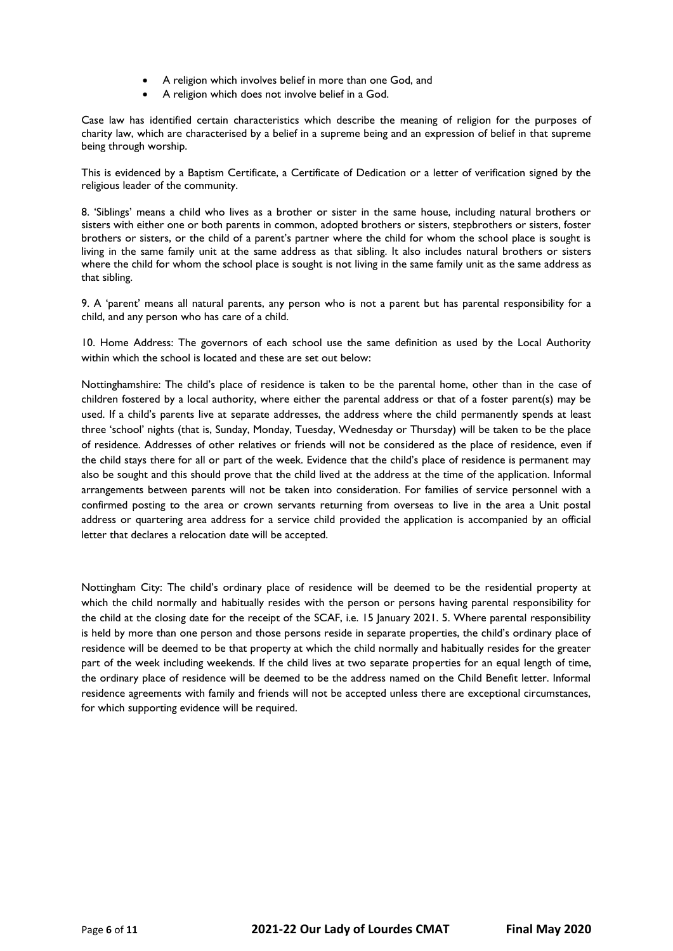- A religion which involves belief in more than one God, and
- A religion which does not involve belief in a God.

Case law has identified certain characteristics which describe the meaning of religion for the purposes of charity law, which are characterised by a belief in a supreme being and an expression of belief in that supreme being through worship.

This is evidenced by a Baptism Certificate, a Certificate of Dedication or a letter of verification signed by the religious leader of the community.

8. 'Siblings' means a child who lives as a brother or sister in the same house, including natural brothers or sisters with either one or both parents in common, adopted brothers or sisters, stepbrothers or sisters, foster brothers or sisters, or the child of a parent's partner where the child for whom the school place is sought is living in the same family unit at the same address as that sibling. It also includes natural brothers or sisters where the child for whom the school place is sought is not living in the same family unit as the same address as that sibling.

9. A 'parent' means all natural parents, any person who is not a parent but has parental responsibility for a child, and any person who has care of a child.

10. Home Address: The governors of each school use the same definition as used by the Local Authority within which the school is located and these are set out below:

Nottinghamshire: The child's place of residence is taken to be the parental home, other than in the case of children fostered by a local authority, where either the parental address or that of a foster parent(s) may be used. If a child's parents live at separate addresses, the address where the child permanently spends at least three 'school' nights (that is, Sunday, Monday, Tuesday, Wednesday or Thursday) will be taken to be the place of residence. Addresses of other relatives or friends will not be considered as the place of residence, even if the child stays there for all or part of the week. Evidence that the child's place of residence is permanent may also be sought and this should prove that the child lived at the address at the time of the application. Informal arrangements between parents will not be taken into consideration. For families of service personnel with a confirmed posting to the area or crown servants returning from overseas to live in the area a Unit postal address or quartering area address for a service child provided the application is accompanied by an official letter that declares a relocation date will be accepted.

Nottingham City: The child's ordinary place of residence will be deemed to be the residential property at which the child normally and habitually resides with the person or persons having parental responsibility for the child at the closing date for the receipt of the SCAF, i.e. 15 January 2021. 5. Where parental responsibility is held by more than one person and those persons reside in separate properties, the child's ordinary place of residence will be deemed to be that property at which the child normally and habitually resides for the greater part of the week including weekends. If the child lives at two separate properties for an equal length of time, the ordinary place of residence will be deemed to be the address named on the Child Benefit letter. Informal residence agreements with family and friends will not be accepted unless there are exceptional circumstances, for which supporting evidence will be required.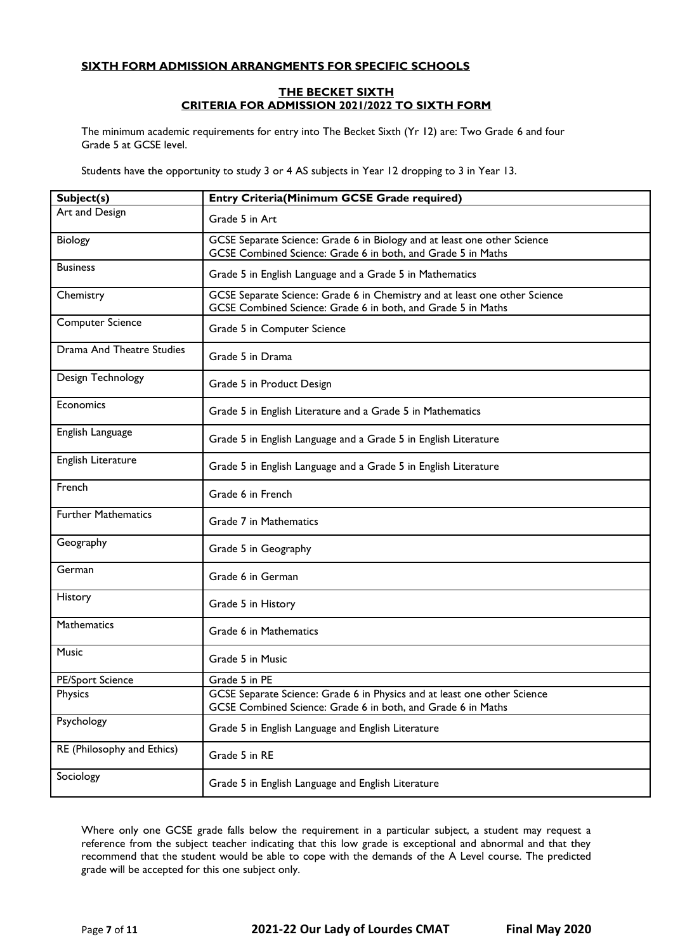## **SIXTH FORM ADMISSION ARRANGMENTS FOR SPECIFIC SCHOOLS**

### **THE BECKET SIXTH CRITERIA FOR ADMISSION 2021/2022 TO SIXTH FORM**

The minimum academic requirements for entry into The Becket Sixth (Yr 12) are: Two Grade 6 and four Grade 5 at GCSE level.

Students have the opportunity to study 3 or 4 AS subjects in Year 12 dropping to 3 in Year 13.

| Subject(s)                 | <b>Entry Criteria(Minimum GCSE Grade required)</b>                                                                                         |  |  |
|----------------------------|--------------------------------------------------------------------------------------------------------------------------------------------|--|--|
| Art and Design             | Grade 5 in Art                                                                                                                             |  |  |
| Biology                    | GCSE Separate Science: Grade 6 in Biology and at least one other Science<br>GCSE Combined Science: Grade 6 in both, and Grade 5 in Maths   |  |  |
| <b>Business</b>            | Grade 5 in English Language and a Grade 5 in Mathematics                                                                                   |  |  |
| Chemistry                  | GCSE Separate Science: Grade 6 in Chemistry and at least one other Science<br>GCSE Combined Science: Grade 6 in both, and Grade 5 in Maths |  |  |
| <b>Computer Science</b>    | Grade 5 in Computer Science                                                                                                                |  |  |
| Drama And Theatre Studies  | Grade 5 in Drama                                                                                                                           |  |  |
| Design Technology          | Grade 5 in Product Design                                                                                                                  |  |  |
| Economics                  | Grade 5 in English Literature and a Grade 5 in Mathematics                                                                                 |  |  |
| English Language           | Grade 5 in English Language and a Grade 5 in English Literature                                                                            |  |  |
| English Literature         | Grade 5 in English Language and a Grade 5 in English Literature                                                                            |  |  |
| French                     | Grade 6 in French                                                                                                                          |  |  |
| <b>Further Mathematics</b> | Grade 7 in Mathematics                                                                                                                     |  |  |
| Geography                  | Grade 5 in Geography                                                                                                                       |  |  |
| German                     | Grade 6 in German                                                                                                                          |  |  |
| History                    | Grade 5 in History                                                                                                                         |  |  |
| <b>Mathematics</b>         | Grade 6 in Mathematics                                                                                                                     |  |  |
| <b>Music</b>               | Grade 5 in Music                                                                                                                           |  |  |
| <b>PE/Sport Science</b>    | Grade 5 in PE                                                                                                                              |  |  |
| Physics                    | GCSE Separate Science: Grade 6 in Physics and at least one other Science<br>GCSE Combined Science: Grade 6 in both, and Grade 6 in Maths   |  |  |
| Psychology                 | Grade 5 in English Language and English Literature                                                                                         |  |  |
| RE (Philosophy and Ethics) | Grade 5 in RE                                                                                                                              |  |  |
| Sociology                  | Grade 5 in English Language and English Literature                                                                                         |  |  |

Where only one GCSE grade falls below the requirement in a particular subject, a student may request a reference from the subject teacher indicating that this low grade is exceptional and abnormal and that they recommend that the student would be able to cope with the demands of the A Level course. The predicted grade will be accepted for this one subject only.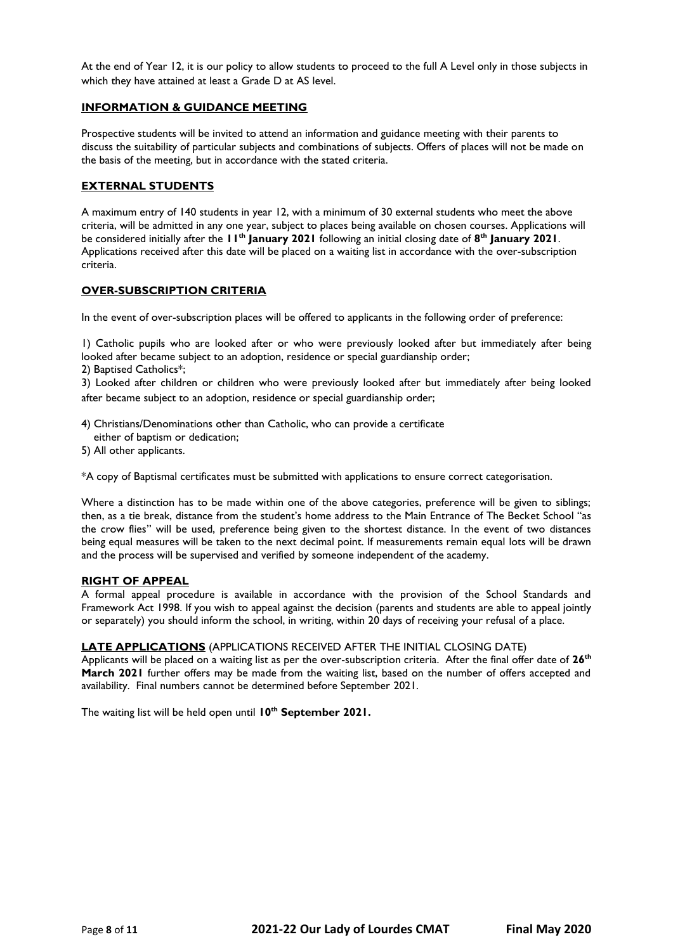At the end of Year 12, it is our policy to allow students to proceed to the full A Level only in those subjects in which they have attained at least a Grade D at AS level.

### **INFORMATION & GUIDANCE MEETING**

Prospective students will be invited to attend an information and guidance meeting with their parents to discuss the suitability of particular subjects and combinations of subjects. Offers of places will not be made on the basis of the meeting, but in accordance with the stated criteria.

### **EXTERNAL STUDENTS**

A maximum entry of 140 students in year 12, with a minimum of 30 external students who meet the above criteria, will be admitted in any one year, subject to places being available on chosen courses. Applications will be considered initially after the **11th January 2021** following an initial closing date of **8 th January 2021**. Applications received after this date will be placed on a waiting list in accordance with the over-subscription criteria.

### **OVER-SUBSCRIPTION CRITERIA**

In the event of over-subscription places will be offered to applicants in the following order of preference:

1) Catholic pupils who are looked after or who were previously looked after but immediately after being looked after became subject to an adoption, residence or special guardianship order;

2) Baptised Catholics\*;

3) Looked after children or children who were previously looked after but immediately after being looked after became subject to an adoption, residence or special guardianship order;

- 4) Christians/Denominations other than Catholic, who can provide a certificate
- either of baptism or dedication;
- 5) All other applicants.

\*A copy of Baptismal certificates must be submitted with applications to ensure correct categorisation.

Where a distinction has to be made within one of the above categories, preference will be given to siblings; then, as a tie break, distance from the student's home address to the Main Entrance of The Becket School "as the crow flies" will be used, preference being given to the shortest distance. In the event of two distances being equal measures will be taken to the next decimal point. If measurements remain equal lots will be drawn and the process will be supervised and verified by someone independent of the academy.

### **RIGHT OF APPEAL**

A formal appeal procedure is available in accordance with the provision of the School Standards and Framework Act 1998. If you wish to appeal against the decision (parents and students are able to appeal jointly or separately) you should inform the school, in writing, within 20 days of receiving your refusal of a place.

### **LATE APPLICATIONS** (APPLICATIONS RECEIVED AFTER THE INITIAL CLOSING DATE)

Applicants will be placed on a waiting list as per the over-subscription criteria. After the final offer date of **26th March 2021** further offers may be made from the waiting list, based on the number of offers accepted and availability. Final numbers cannot be determined before September 2021.

The waiting list will be held open until **10th September 2021.**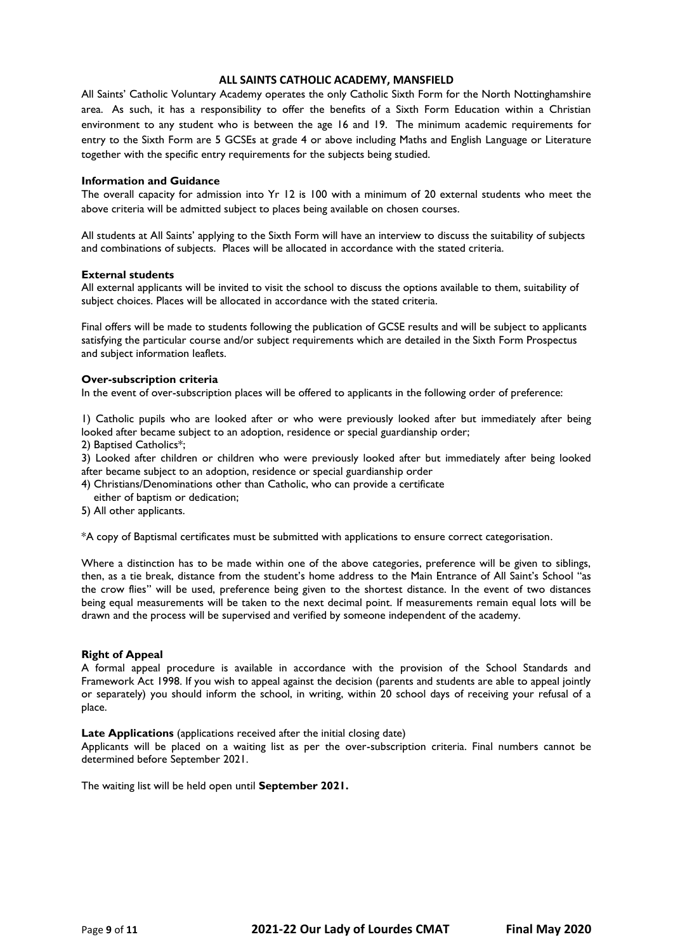## **ALL SAINTS CATHOLIC ACADEMY, MANSFIELD**

All Saints' Catholic Voluntary Academy operates the only Catholic Sixth Form for the North Nottinghamshire area. As such, it has a responsibility to offer the benefits of a Sixth Form Education within a Christian environment to any student who is between the age 16 and 19. The minimum academic requirements for entry to the Sixth Form are 5 GCSEs at grade 4 or above including Maths and English Language or Literature together with the specific entry requirements for the subjects being studied.

#### **Information and Guidance**

The overall capacity for admission into Yr 12 is 100 with a minimum of 20 external students who meet the above criteria will be admitted subject to places being available on chosen courses.

All students at All Saints' applying to the Sixth Form will have an interview to discuss the suitability of subjects and combinations of subjects. Places will be allocated in accordance with the stated criteria.

#### **External students**

All external applicants will be invited to visit the school to discuss the options available to them, suitability of subject choices. Places will be allocated in accordance with the stated criteria.

Final offers will be made to students following the publication of GCSE results and will be subject to applicants satisfying the particular course and/or subject requirements which are detailed in the Sixth Form Prospectus and subject information leaflets.

#### **Over-subscription criteria**

In the event of over-subscription places will be offered to applicants in the following order of preference:

1) Catholic pupils who are looked after or who were previously looked after but immediately after being looked after became subject to an adoption, residence or special guardianship order;

2) Baptised Catholics\*;

3) Looked after children or children who were previously looked after but immediately after being looked after became subject to an adoption, residence or special guardianship order

- 4) Christians/Denominations other than Catholic, who can provide a certificate
- either of baptism or dedication;
- 5) All other applicants.

\*A copy of Baptismal certificates must be submitted with applications to ensure correct categorisation.

Where a distinction has to be made within one of the above categories, preference will be given to siblings, then, as a tie break, distance from the student's home address to the Main Entrance of All Saint's School "as the crow flies" will be used, preference being given to the shortest distance. In the event of two distances being equal measurements will be taken to the next decimal point. If measurements remain equal lots will be drawn and the process will be supervised and verified by someone independent of the academy.

### **Right of Appeal**

A formal appeal procedure is available in accordance with the provision of the School Standards and Framework Act 1998. If you wish to appeal against the decision (parents and students are able to appeal jointly or separately) you should inform the school, in writing, within 20 school days of receiving your refusal of a place.

#### **Late Applications** (applications received after the initial closing date)

Applicants will be placed on a waiting list as per the over-subscription criteria. Final numbers cannot be determined before September 2021.

The waiting list will be held open until **September 2021.**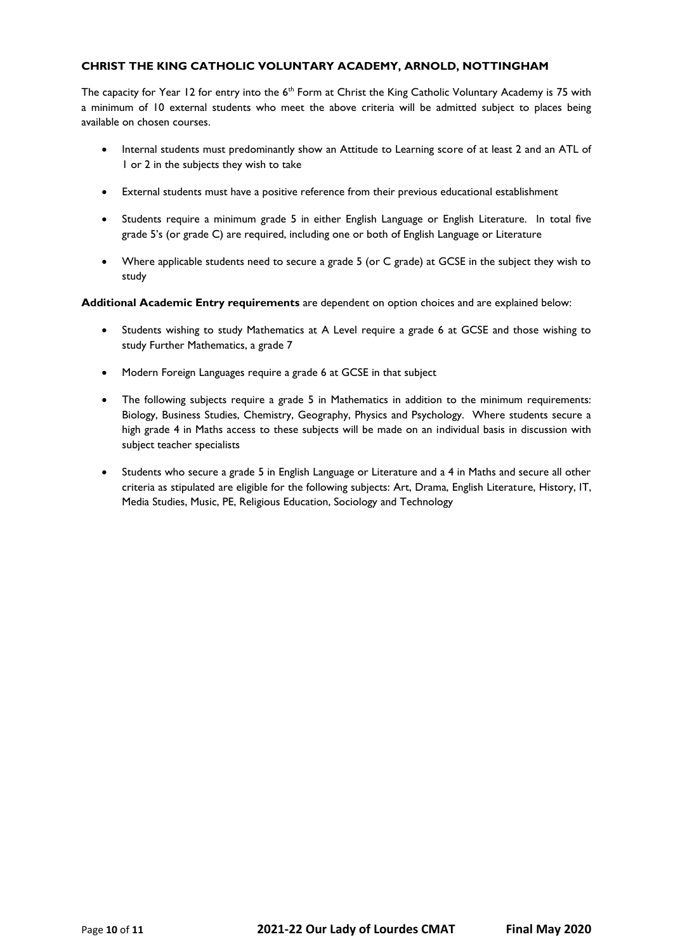# **CHRIST THE KING CATHOLIC VOLUNTARY ACADEMY, ARNOLD, NOTTINGHAM**

The capacity for Year 12 for entry into the 6<sup>th</sup> Form at Christ the King Catholic Voluntary Academy is 75 with a minimum of 10 external students who meet the above criteria will be admitted subject to places being available on chosen courses.

- Internal students must predominantly show an Attitude to Learning score of at least 2 and an ATL of 1 or 2 in the subjects they wish to take
- External students must have a positive reference from their previous educational establishment
- Students require a minimum grade 5 in either English Language or English Literature. In total five grade 5's (or grade C) are required, including one or both of English Language or Literature
- Where applicable students need to secure a grade 5 (or C grade) at GCSE in the subject they wish to study

**Additional Academic Entry requirements** are dependent on option choices and are explained below:

- Students wishing to study Mathematics at A Level require a grade 6 at GCSE and those wishing to study Further Mathematics, a grade 7
- Modern Foreign Languages require a grade 6 at GCSE in that subject
- The following subjects require a grade 5 in Mathematics in addition to the minimum requirements: Biology, Business Studies, Chemistry, Geography, Physics and Psychology. Where students secure a high grade 4 in Maths access to these subjects will be made on an individual basis in discussion with subject teacher specialists
- Students who secure a grade 5 in English Language or Literature and a 4 in Maths and secure all other criteria as stipulated are eligible for the following subjects: Art, Drama, English Literature, History, IT, Media Studies, Music, PE, Religious Education, Sociology and Technology